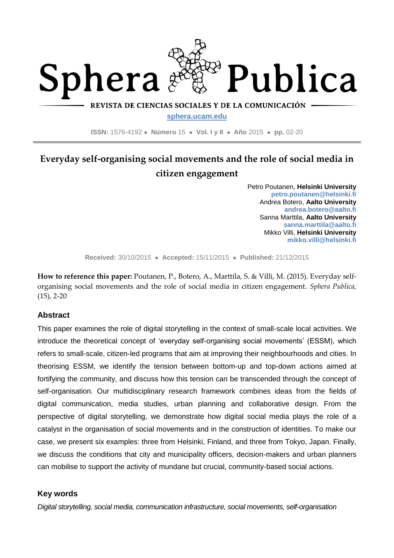

REVISTA DE CIENCIAS SOCIALES Y DE LA COMUNICACIÓN

**sphera.ucam.edu**

**ISSN:** 1576-4192 ● **Número** 15 ● **Vol. I y II** ● **Año** 2015 ● **pp.** 02-20

# **Everyday self-organising social movements and the role of social media in citizen engagement**

Petro Poutanen, **Helsinki University petro.poutanen@helsinki.fi** Andrea Botero, **Aalto University andrea.botero@aalto.fi** Sanna Marttila, **Aalto University sanna.marttila@aalto.fi** Mikko Villi, **Helsinki University mikko.villi@helsinki.fi**

**Received:** 30/10/2015 ● **Accepted:** 15/11/2015 ● **Published:** 21/12/2015

**How to reference this paper:** Poutanen, P., Botero, A., Marttila, S. & Villi, M. (2015). Everyday selforganising social movements and the role of social media in citizen engagement. *Sphera Publica,*  (15), 2-20

## **Abstract**

This paper examines the role of digital storytelling in the context of small-scale local activities. We introduce the theoretical concept of 'everyday self-organising social movements' (ESSM), which refers to small-scale, citizen-led programs that aim at improving their neighbourhoods and cities. In theorising ESSM, we identify the tension between bottom-up and top-down actions aimed at fortifying the community, and discuss how this tension can be transcended through the concept of self-organisation. Our multidisciplinary research framework combines ideas from the fields of digital communication, media studies, urban planning and collaborative design. From the perspective of digital storytelling, we demonstrate how digital social media plays the role of a catalyst in the organisation of social movements and in the construction of identities. To make our case, we present six examples: three from Helsinki, Finland, and three from Tokyo, Japan. Finally, we discuss the conditions that city and municipality officers, decision-makers and urban planners can mobilise to support the activity of mundane but crucial, community-based social actions.

## **Key words**

*Digital storytelling, social media, communication infrastructure, social movements, self-organisation*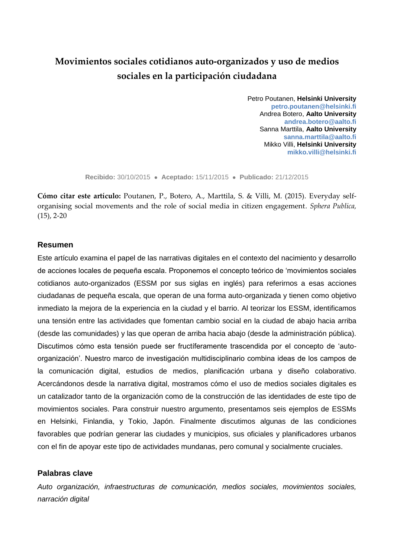# **Movimientos sociales cotidianos auto-organizados y uso de medios sociales en la participación ciudadana**

Petro Poutanen, **Helsinki University petro.poutanen@helsinki.fi** Andrea Botero, **Aalto University andrea.botero@aalto.fi** Sanna Marttila, **Aalto University sanna.marttila@aalto.fi** Mikko Villi, **Helsinki University mikko.villi@helsinki.fi**

**Recibido:** 30/10/2015 ● **Aceptado:** 15/11/2015 ● **Publicado:** 21/12/2015

**Cómo citar este artículo:** Poutanen, P., Botero, A., Marttila, S. & Villi, M. (2015). Everyday selforganising social movements and the role of social media in citizen engagement. *Sphera Publica,*  (15), 2-20

### **Resumen**

Este artículo examina el papel de las narrativas digitales en el contexto del nacimiento y desarrollo de acciones locales de pequeña escala. Proponemos el concepto teórico de 'movimientos sociales cotidianos auto-organizados (ESSM por sus siglas en inglés) para referirnos a esas acciones ciudadanas de pequeña escala, que operan de una forma auto-organizada y tienen como objetivo inmediato la mejora de la experiencia en la ciudad y el barrio. Al teorizar los ESSM, identificamos una tensión entre las actividades que fomentan cambio social en la ciudad de abajo hacia arriba (desde las comunidades) y las que operan de arriba hacia abajo (desde la administración pública). Discutimos cómo esta tensión puede ser fructíferamente trascendida por el concepto de 'autoorganización'. Nuestro marco de investigación multidisciplinario combina ideas de los campos de la comunicación digital, estudios de medios, planificación urbana y diseño colaborativo. Acercándonos desde la narrativa digital, mostramos cómo el uso de medios sociales digitales es un catalizador tanto de la organización como de la construcción de las identidades de este tipo de movimientos sociales. Para construir nuestro argumento, presentamos seis ejemplos de ESSMs en Helsinki, Finlandia, y Tokio, Japón. Finalmente discutimos algunas de las condiciones favorables que podrían generar las ciudades y municipios, sus oficiales y planificadores urbanos con el fin de apoyar este tipo de actividades mundanas, pero comunal y socialmente cruciales.

#### **Palabras clave**

*Auto organización, infraestructuras de comunicación, medios sociales, movimientos sociales, narración digital*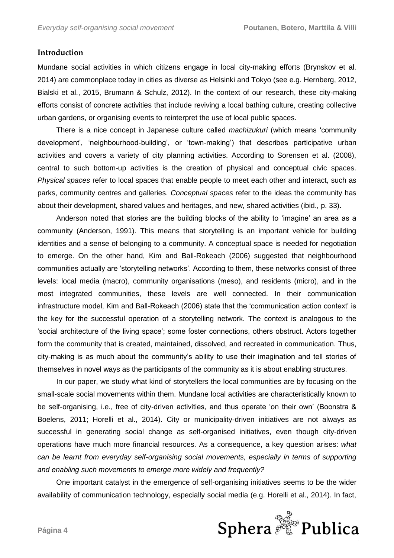## **Introduction**

Mundane social activities in which citizens engage in local city-making efforts (Brynskov et al. 2014) are commonplace today in cities as diverse as Helsinki and Tokyo (see e.g. Hernberg, 2012, Bialski et al., 2015, Brumann & Schulz, 2012). In the context of our research, these city-making efforts consist of concrete activities that include reviving a local bathing culture, creating collective urban gardens, or organising events to reinterpret the use of local public spaces.

There is a nice concept in Japanese culture called *machizukuri* (which means 'community development', 'neighbourhood-building', or 'town-making') that describes participative urban activities and covers a variety of city planning activities. According to Sorensen et al. (2008), central to such bottom-up activities is the creation of physical and conceptual civic spaces. *Physical spaces* refer to local spaces that enable people to meet each other and interact, such as parks, community centres and galleries. *Conceptual spaces* refer to the ideas the community has about their development, shared values and heritages, and new, shared activities (ibid., p. 33).

Anderson noted that stories are the building blocks of the ability to 'imagine' an area as a community (Anderson, 1991). This means that storytelling is an important vehicle for building identities and a sense of belonging to a community. A conceptual space is needed for negotiation to emerge. On the other hand, Kim and Ball-Rokeach (2006) suggested that neighbourhood communities actually are 'storytelling networks'. According to them, these networks consist of three levels: local media (macro), community organisations (meso), and residents (micro), and in the most integrated communities, these levels are well connected. In their communication infrastructure model, Kim and Ball-Rokeach (2006) state that the 'communication action context' is the key for the successful operation of a storytelling network. The context is analogous to the 'social architecture of the living space'; some foster connections, others obstruct. Actors together form the community that is created, maintained, dissolved, and recreated in communication. Thus, city-making is as much about the community's ability to use their imagination and tell stories of themselves in novel ways as the participants of the community as it is about enabling structures.

In our paper, we study what kind of storytellers the local communities are by focusing on the small-scale social movements within them. Mundane local activities are characteristically known to be self-organising, i.e., free of city-driven activities, and thus operate 'on their own' (Boonstra & Boelens, 2011; Horelli et al., 2014). City or municipality-driven initiatives are not always as successful in generating social change as self-organised initiatives, even though city-driven operations have much more financial resources. As a consequence, a key question arises: *what can be learnt from everyday self-organising social movements, especially in terms of supporting and enabling such movements to emerge more widely and frequently?*

One important catalyst in the emergence of self-organising initiatives seems to be the wider availability of communication technology, especially social media (e.g. Horelli et al., 2014). In fact,

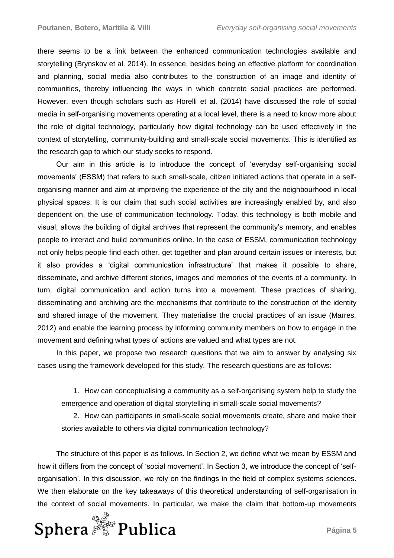there seems to be a link between the enhanced communication technologies available and storytelling (Brynskov et al. 2014). In essence, besides being an effective platform for coordination and planning, social media also contributes to the construction of an image and identity of communities, thereby influencing the ways in which concrete social practices are performed. However, even though scholars such as Horelli et al. (2014) have discussed the role of social media in self-organising movements operating at a local level, there is a need to know more about the role of digital technology, particularly how digital technology can be used effectively in the context of storytelling, community-building and small-scale social movements. This is identified as the research gap to which our study seeks to respond.

Our aim in this article is to introduce the concept of 'everyday self-organising social movements' (ESSM) that refers to such small-scale, citizen initiated actions that operate in a selforganising manner and aim at improving the experience of the city and the neighbourhood in local physical spaces. It is our claim that such social activities are increasingly enabled by, and also dependent on, the use of communication technology. Today, this technology is both mobile and visual, allows the building of digital archives that represent the community's memory, and enables people to interact and build communities online. In the case of ESSM, communication technology not only helps people find each other, get together and plan around certain issues or interests, but it also provides a 'digital communication infrastructure' that makes it possible to share, disseminate, and archive different stories, images and memories of the events of a community. In turn, digital communication and action turns into a movement. These practices of sharing, disseminating and archiving are the mechanisms that contribute to the construction of the identity and shared image of the movement. They materialise the crucial practices of an issue (Marres, 2012) and enable the learning process by informing community members on how to engage in the movement and defining what types of actions are valued and what types are not.

In this paper, we propose two research questions that we aim to answer by analysing six cases using the framework developed for this study. The research questions are as follows:

1. How can conceptualising a community as a self-organising system help to study the emergence and operation of digital storytelling in small-scale social movements?

2. How can participants in small-scale social movements create, share and make their stories available to others via digital communication technology?

The structure of this paper is as follows. In Section 2, we define what we mean by ESSM and how it differs from the concept of 'social movement'. In Section 3, we introduce the concept of 'selforganisation'. In this discussion, we rely on the findings in the field of complex systems sciences. We then elaborate on the key takeaways of this theoretical understanding of self-organisation in the context of social movements. In particular, we make the claim that bottom-up movements

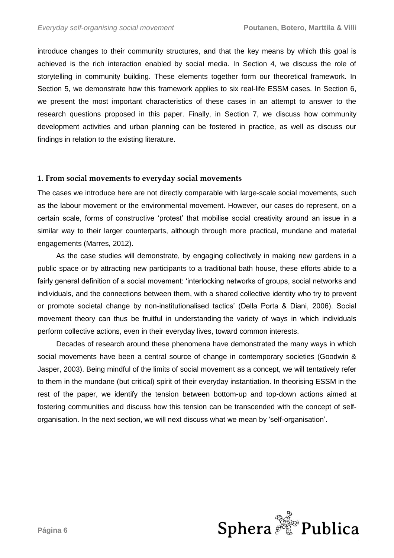introduce changes to their community structures, and that the key means by which this goal is achieved is the rich interaction enabled by social media. In Section 4, we discuss the role of storytelling in community building. These elements together form our theoretical framework. In Section 5, we demonstrate how this framework applies to six real-life ESSM cases. In Section 6, we present the most important characteristics of these cases in an attempt to answer to the research questions proposed in this paper. Finally, in Section 7, we discuss how community development activities and urban planning can be fostered in practice, as well as discuss our findings in relation to the existing literature.

#### **1. From social movements to everyday social movements**

The cases we introduce here are not directly comparable with large-scale social movements, such as the labour movement or the environmental movement. However, our cases do represent, on a certain scale, forms of constructive 'protest' that mobilise social creativity around an issue in a similar way to their larger counterparts, although through more practical, mundane and material engagements (Marres, 2012).

As the case studies will demonstrate, by engaging collectively in making new gardens in a public space or by attracting new participants to a traditional bath house, these efforts abide to a fairly general definition of a social movement: 'interlocking networks of groups, social networks and individuals, and the connections between them, with a shared collective identity who try to prevent or promote societal change by non-institutionalised tactics' (Della Porta & Diani, 2006). Social movement theory can thus be fruitful in understanding the variety of ways in which individuals perform collective actions, even in their everyday lives, toward common interests.

Decades of research around these phenomena have demonstrated the many ways in which social movements have been a central source of change in contemporary societies (Goodwin & Jasper, 2003). Being mindful of the limits of social movement as a concept, we will tentatively refer to them in the mundane (but critical) spirit of their everyday instantiation. In theorising ESSM in the rest of the paper, we identify the tension between bottom-up and top-down actions aimed at fostering communities and discuss how this tension can be transcended with the concept of selforganisation. In the next section, we will next discuss what we mean by 'self-organisation'.

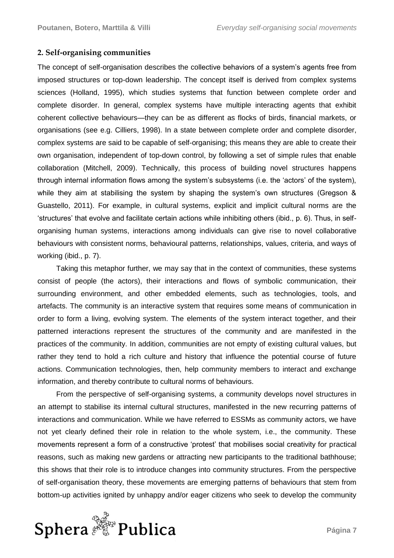## **2. Self-organising communities**

The concept of self-organisation describes the collective behaviors of a system's agents free from imposed structures or top-down leadership. The concept itself is derived from complex systems sciences (Holland, 1995), which studies systems that function between complete order and complete disorder. In general, complex systems have multiple interacting agents that exhibit coherent collective behaviours—they can be as different as flocks of birds, financial markets, or organisations (see e.g. Cilliers, 1998). In a state between complete order and complete disorder, complex systems are said to be capable of self-organising; this means they are able to create their own organisation, independent of top-down control, by following a set of simple rules that enable collaboration (Mitchell, 2009). Technically, this process of building novel structures happens through internal information flows among the system's subsystems (i.e. the 'actors' of the system), while they aim at stabilising the system by shaping the system's own structures (Gregson & Guastello, 2011). For example, in cultural systems, explicit and implicit cultural norms are the 'structures' that evolve and facilitate certain actions while inhibiting others (ibid., p. 6). Thus, in selforganising human systems, interactions among individuals can give rise to novel collaborative behaviours with consistent norms, behavioural patterns, relationships, values, criteria, and ways of working (ibid., p. 7).

Taking this metaphor further, we may say that in the context of communities, these systems consist of people (the actors), their interactions and flows of symbolic communication, their surrounding environment, and other embedded elements, such as technologies, tools, and artefacts. The community is an interactive system that requires some means of communication in order to form a living, evolving system. The elements of the system interact together, and their patterned interactions represent the structures of the community and are manifested in the practices of the community. In addition, communities are not empty of existing cultural values, but rather they tend to hold a rich culture and history that influence the potential course of future actions. Communication technologies, then, help community members to interact and exchange information, and thereby contribute to cultural norms of behaviours.

From the perspective of self-organising systems, a community develops novel structures in an attempt to stabilise its internal cultural structures, manifested in the new recurring patterns of interactions and communication. While we have referred to ESSMs as community actors, we have not yet clearly defined their role in relation to the whole system, i.e., the community. These movements represent a form of a constructive 'protest' that mobilises social creativity for practical reasons, such as making new gardens or attracting new participants to the traditional bathhouse; this shows that their role is to introduce changes into community structures. From the perspective of self-organisation theory, these movements are emerging patterns of behaviours that stem from bottom-up activities ignited by unhappy and/or eager citizens who seek to develop the community

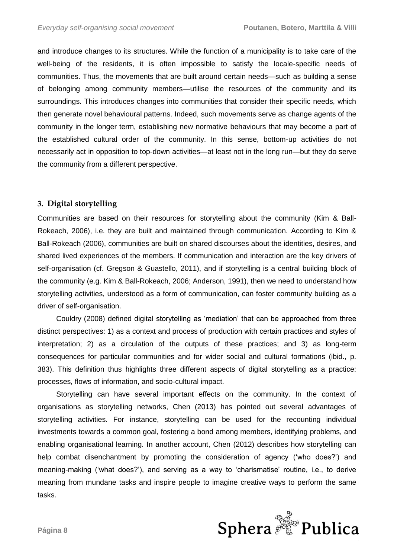and introduce changes to its structures. While the function of a municipality is to take care of the well-being of the residents, it is often impossible to satisfy the locale-specific needs of communities. Thus, the movements that are built around certain needs—such as building a sense of belonging among community members—utilise the resources of the community and its surroundings. This introduces changes into communities that consider their specific needs, which then generate novel behavioural patterns. Indeed, such movements serve as change agents of the community in the longer term, establishing new normative behaviours that may become a part of the established cultural order of the community. In this sense, bottom-up activities do not necessarily act in opposition to top-down activities—at least not in the long run—but they do serve the community from a different perspective.

## **3. Digital storytelling**

Communities are based on their resources for storytelling about the community (Kim & Ball-Rokeach, 2006), i.e. they are built and maintained through communication. According to Kim & Ball-Rokeach (2006), communities are built on shared discourses about the identities, desires, and shared lived experiences of the members. If communication and interaction are the key drivers of self-organisation (cf. Gregson & Guastello, 2011), and if storytelling is a central building block of the community (e.g. Kim & Ball-Rokeach, 2006; Anderson, 1991), then we need to understand how storytelling activities, understood as a form of communication, can foster community building as a driver of self-organisation.

Couldry (2008) defined digital storytelling as 'mediation' that can be approached from three distinct perspectives: 1) as a context and process of production with certain practices and styles of interpretation; 2) as a circulation of the outputs of these practices; and 3) as long-term consequences for particular communities and for wider social and cultural formations (ibid., p. 383). This definition thus highlights three different aspects of digital storytelling as a practice: processes, flows of information, and socio-cultural impact.

Storytelling can have several important effects on the community. In the context of organisations as storytelling networks, Chen (2013) has pointed out several advantages of storytelling activities. For instance, storytelling can be used for the recounting individual investments towards a common goal, fostering a bond among members, identifying problems, and enabling organisational learning. In another account, Chen (2012) describes how storytelling can help combat disenchantment by promoting the consideration of agency ('who does?') and meaning-making ('what does?'), and serving as a way to 'charismatise' routine, i.e., to derive meaning from mundane tasks and inspire people to imagine creative ways to perform the same tasks.

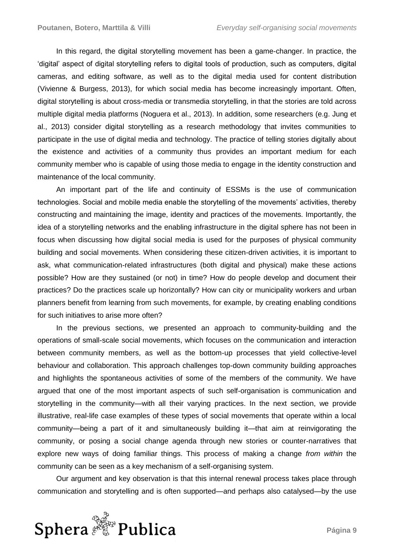In this regard, the digital storytelling movement has been a game-changer. In practice, the 'digital' aspect of digital storytelling refers to digital tools of production, such as computers, digital cameras, and editing software, as well as to the digital media used for content distribution (Vivienne & Burgess, 2013), for which social media has become increasingly important. Often, digital storytelling is about cross-media or transmedia storytelling, in that the stories are told across multiple digital media platforms (Noguera et al., 2013). In addition, some researchers (e.g. Jung et al., 2013) consider digital storytelling as a research methodology that invites communities to participate in the use of digital media and technology. The practice of telling stories digitally about the existence and activities of a community thus provides an important medium for each community member who is capable of using those media to engage in the identity construction and maintenance of the local community.

An important part of the life and continuity of ESSMs is the use of communication technologies. Social and mobile media enable the storytelling of the movements' activities, thereby constructing and maintaining the image, identity and practices of the movements. Importantly, the idea of a storytelling networks and the enabling infrastructure in the digital sphere has not been in focus when discussing how digital social media is used for the purposes of physical community building and social movements. When considering these citizen-driven activities, it is important to ask, what communication-related infrastructures (both digital and physical) make these actions possible? How are they sustained (or not) in time? How do people develop and document their practices? Do the practices scale up horizontally? How can city or municipality workers and urban planners benefit from learning from such movements, for example, by creating enabling conditions for such initiatives to arise more often?

In the previous sections, we presented an approach to community-building and the operations of small-scale social movements, which focuses on the communication and interaction between community members, as well as the bottom-up processes that yield collective-level behaviour and collaboration. This approach challenges top-down community building approaches and highlights the spontaneous activities of some of the members of the community. We have argued that one of the most important aspects of such self-organisation is communication and storytelling in the community—with all their varying practices. In the next section, we provide illustrative, real-life case examples of these types of social movements that operate within a local community—being a part of it and simultaneously building it—that aim at reinvigorating the community, or posing a social change agenda through new stories or counter-narratives that explore new ways of doing familiar things. This process of making a change *from within* the community can be seen as a key mechanism of a self-organising system.

Our argument and key observation is that this internal renewal process takes place through communication and storytelling and is often supported—and perhaps also catalysed—by the use

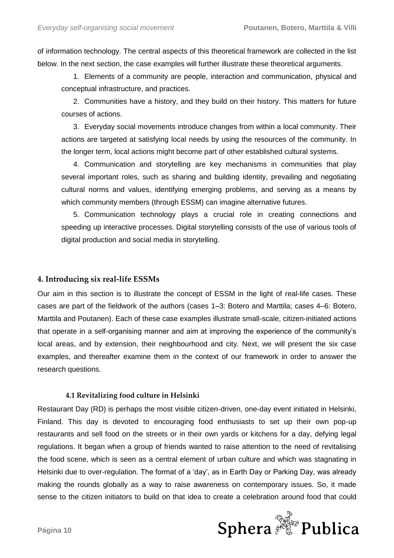of information technology. The central aspects of this theoretical framework are collected in the list below. In the next section, the case examples will further illustrate these theoretical arguments.

1. Elements of a community are people, interaction and communication, physical and conceptual infrastructure, and practices.

2. Communities have a history, and they build on their history. This matters for future courses of actions.

3. Everyday social movements introduce changes from within a local community. Their actions are targeted at satisfying local needs by using the resources of the community. In the longer term, local actions might become part of other established cultural systems.

4. Communication and storytelling are key mechanisms in communities that play several important roles, such as sharing and building identity, prevailing and negotiating cultural norms and values, identifying emerging problems, and serving as a means by which community members (through ESSM) can imagine alternative futures.

5. Communication technology plays a crucial role in creating connections and speeding up interactive processes. Digital storytelling consists of the use of various tools of digital production and social media in storytelling.

## **4. Introducing six real-life ESSMs**

Our aim in this section is to illustrate the concept of ESSM in the light of real-life cases. These cases are part of the fieldwork of the authors (cases 1–3: Botero and Marttila; cases 4–6: Botero, Marttila and Poutanen). Each of these case examples illustrate small-scale, citizen-initiated actions that operate in a self-organising manner and aim at improving the experience of the community's local areas, and by extension, their neighbourhood and city. Next, we will present the six case examples, and thereafter examine them in the context of our framework in order to answer the research questions.

## **4.1 Revitalizing food culture in Helsinki**

Restaurant Day (RD) is perhaps the most visible citizen-driven, one-day event initiated in Helsinki, Finland. This day is devoted to encouraging food enthusiasts to set up their own pop-up restaurants and sell food on the streets or in their own yards or kitchens for a day, defying legal regulations. It began when a group of friends wanted to raise attention to the need of revitalising the food scene, which is seen as a central element of urban culture and which was stagnating in Helsinki due to over-regulation. The format of a 'day', as in Earth Day or Parking Day, was already making the rounds globally as a way to raise awareness on contemporary issues. So, it made sense to the citizen initiators to build on that idea to create a celebration around food that could

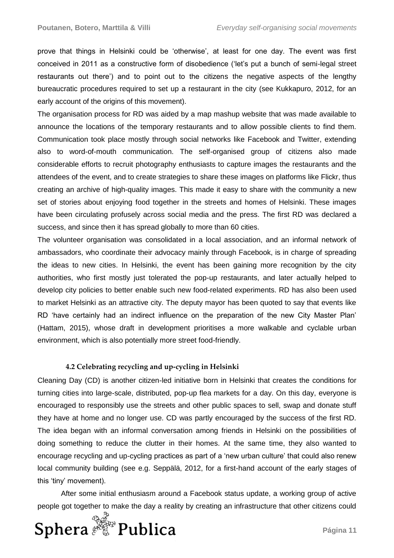prove that things in Helsinki could be 'otherwise', at least for one day. The event was first conceived in 2011 as a constructive form of disobedience ('let's put a bunch of semi-legal street restaurants out there') and to point out to the citizens the negative aspects of the lengthy bureaucratic procedures required to set up a restaurant in the city (see Kukkapuro, 2012, for an early account of the origins of this movement).

The organisation process for RD was aided by a map mashup website that was made available to announce the locations of the temporary restaurants and to allow possible clients to find them. Communication took place mostly through social networks like Facebook and Twitter, extending also to word-of-mouth communication. The self-organised group of citizens also made considerable efforts to recruit photography enthusiasts to capture images the restaurants and the attendees of the event, and to create strategies to share these images on platforms like Flickr, thus creating an archive of high-quality images. This made it easy to share with the community a new set of stories about enjoying food together in the streets and homes of Helsinki. These images have been circulating profusely across social media and the press. The first RD was declared a success, and since then it has spread globally to more than 60 cities.

The volunteer organisation was consolidated in a local association, and an informal network of ambassadors, who coordinate their advocacy mainly through Facebook, is in charge of spreading the ideas to new cities. In Helsinki, the event has been gaining more recognition by the city authorities, who first mostly just tolerated the pop-up restaurants, and later actually helped to develop city policies to better enable such new food-related experiments. RD has also been used to market Helsinki as an attractive city. The deputy mayor has been quoted to say that events like RD 'have certainly had an indirect influence on the preparation of the new City Master Plan' (Hattam, 2015), whose draft in development prioritises a more walkable and cyclable urban environment, which is also potentially more street food-friendly.

## **4.2 Celebrating recycling and up-cycling in Helsinki**

Cleaning Day (CD) is another citizen-led initiative born in Helsinki that creates the conditions for turning cities into large-scale, distributed, pop-up flea markets for a day. On this day, everyone is encouraged to responsibly use the streets and other public spaces to sell, swap and donate stuff they have at home and no longer use. CD was partly encouraged by the success of the first RD. The idea began with an informal conversation among friends in Helsinki on the possibilities of doing something to reduce the clutter in their homes. At the same time, they also wanted to encourage recycling and up-cycling practices as part of a 'new urban culture' that could also renew local community building (see e.g. Seppälä, 2012, for a first-hand account of the early stages of this 'tiny' movement).

After some initial enthusiasm around a Facebook status update, a working group of active people got together to make the day a reality by creating an infrastructure that other citizens could

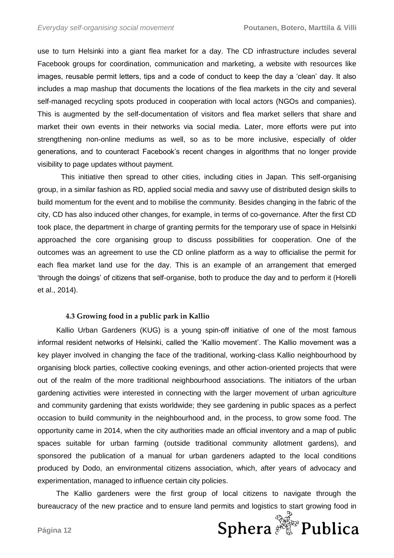use to turn Helsinki into a giant flea market for a day. The CD infrastructure includes several Facebook groups for coordination, communication and marketing, a website with resources like images, reusable permit letters, tips and a code of conduct to keep the day a 'clean' day. It also includes a map mashup that documents the locations of the flea markets in the city and several self-managed recycling spots produced in cooperation with local actors (NGOs and companies). This is augmented by the self-documentation of visitors and flea market sellers that share and market their own events in their networks via social media. Later, more efforts were put into strengthening non-online mediums as well, so as to be more inclusive, especially of older generations, and to counteract Facebook's recent changes in algorithms that no longer provide visibility to page updates without payment.

This initiative then spread to other cities, including cities in Japan. This self-organising group, in a similar fashion as RD, applied social media and savvy use of distributed design skills to build momentum for the event and to mobilise the community. Besides changing in the fabric of the city, CD has also induced other changes, for example, in terms of co-governance. After the first CD took place, the department in charge of granting permits for the temporary use of space in Helsinki approached the core organising group to discuss possibilities for cooperation. One of the outcomes was an agreement to use the CD online platform as a way to officialise the permit for each flea market land use for the day. This is an example of an arrangement that emerged 'through the doings' of citizens that self-organise, both to produce the day and to perform it (Horelli et al., 2014).

#### **4.3 Growing food in a public park in Kallio**

Kallio Urban Gardeners (KUG) is a young spin-off initiative of one of the most famous informal resident networks of Helsinki, called the 'Kallio movement'. The Kallio movement was a key player involved in changing the face of the traditional, working-class Kallio neighbourhood by organising block parties, collective cooking evenings, and other action-oriented projects that were out of the realm of the more traditional neighbourhood associations. The initiators of the urban gardening activities were interested in connecting with the larger movement of urban agriculture and community gardening that exists worldwide; they see gardening in public spaces as a perfect occasion to build community in the neighbourhood and, in the process, to grow some food. The opportunity came in 2014, when the city authorities made an official inventory and a map of public spaces suitable for urban farming (outside traditional community allotment gardens), and sponsored the publication of a manual for urban gardeners adapted to the local conditions produced by Dodo, an environmental citizens association, which, after years of advocacy and experimentation, managed to influence certain city policies.

The Kallio gardeners were the first group of local citizens to navigate through the bureaucracy of the new practice and to ensure land permits and logistics to start growing food in

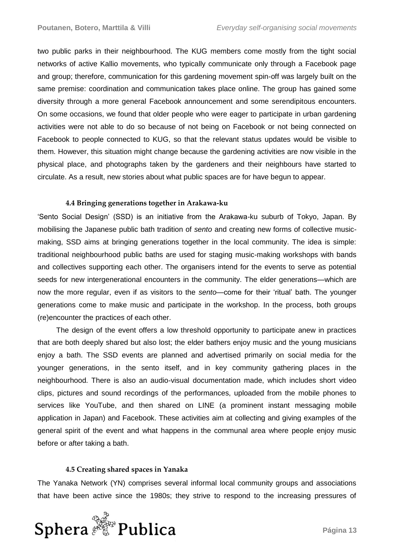two public parks in their neighbourhood. The KUG members come mostly from the tight social networks of active Kallio movements, who typically communicate only through a Facebook page and group; therefore, communication for this gardening movement spin-off was largely built on the same premise: coordination and communication takes place online. The group has gained some diversity through a more general Facebook announcement and some serendipitous encounters. On some occasions, we found that older people who were eager to participate in urban gardening activities were not able to do so because of not being on Facebook or not being connected on Facebook to people connected to KUG, so that the relevant status updates would be visible to them. However, this situation might change because the gardening activities are now visible in the physical place, and photographs taken by the gardeners and their neighbours have started to circulate. As a result, new stories about what public spaces are for have begun to appear.

## **4.4 Bringing generations together in Arakawa-ku**

'Sento Social Design' (SSD) is an initiative from the Arakawa-ku suburb of Tokyo, Japan. By mobilising the Japanese public bath tradition of *sento* and creating new forms of collective musicmaking, SSD aims at bringing generations together in the local community. The idea is simple: traditional neighbourhood public baths are used for staging music-making workshops with bands and collectives supporting each other. The organisers intend for the events to serve as potential seeds for new intergenerational encounters in the community. The elder generations—which are now the more regular, even if as visitors to the *sento*—come for their 'ritual' bath. The younger generations come to make music and participate in the workshop. In the process, both groups (re)encounter the practices of each other.

The design of the event offers a low threshold opportunity to participate anew in practices that are both deeply shared but also lost; the elder bathers enjoy music and the young musicians enjoy a bath. The SSD events are planned and advertised primarily on social media for the younger generations, in the sento itself, and in key community gathering places in the neighbourhood. There is also an audio-visual documentation made, which includes short video clips, pictures and sound recordings of the performances, uploaded from the mobile phones to services like YouTube, and then shared on LINE (a prominent instant messaging mobile application in Japan) and Facebook. These activities aim at collecting and giving examples of the general spirit of the event and what happens in the communal area where people enjoy music before or after taking a bath.

### **4.5 Creating shared spaces in Yanaka**

The Yanaka Network (YN) comprises several informal local community groups and associations that have been active since the 1980s; they strive to respond to the increasing pressures of

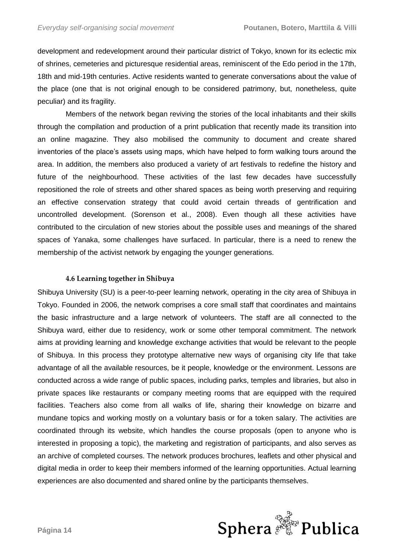development and redevelopment around their particular district of Tokyo, known for its eclectic mix of shrines, cemeteries and picturesque residential areas, reminiscent of the Edo period in the 17th, 18th and mid-19th centuries. Active residents wanted to generate conversations about the value of the place (one that is not original enough to be considered patrimony, but, nonetheless, quite peculiar) and its fragility.

Members of the network began reviving the stories of the local inhabitants and their skills through the compilation and production of a print publication that recently made its transition into an online magazine. They also mobilised the community to document and create shared inventories of the place's assets using maps, which have helped to form walking tours around the area. In addition, the members also produced a variety of art festivals to redefine the history and future of the neighbourhood. These activities of the last few decades have successfully repositioned the role of streets and other shared spaces as being worth preserving and requiring an effective conservation strategy that could avoid certain threads of gentrification and uncontrolled development. (Sorenson et al., 2008). Even though all these activities have contributed to the circulation of new stories about the possible uses and meanings of the shared spaces of Yanaka, some challenges have surfaced. In particular, there is a need to renew the membership of the activist network by engaging the younger generations.

## **4.6 Learning together in Shibuya**

Shibuya University (SU) is a peer-to-peer learning network, operating in the city area of Shibuya in Tokyo. Founded in 2006, the network comprises a core small staff that coordinates and maintains the basic infrastructure and a large network of volunteers. The staff are all connected to the Shibuya ward, either due to residency, work or some other temporal commitment. The network aims at providing learning and knowledge exchange activities that would be relevant to the people of Shibuya. In this process they prototype alternative new ways of organising city life that take advantage of all the available resources, be it people, knowledge or the environment. Lessons are conducted across a wide range of public spaces, including parks, temples and libraries, but also in private spaces like restaurants or company meeting rooms that are equipped with the required facilities. Teachers also come from all walks of life, sharing their knowledge on bizarre and mundane topics and working mostly on a voluntary basis or for a token salary. The activities are coordinated through its website, which handles the course proposals (open to anyone who is interested in proposing a topic), the marketing and registration of participants, and also serves as an archive of completed courses. The network produces brochures, leaflets and other physical and digital media in order to keep their members informed of the learning opportunities. Actual learning experiences are also documented and shared online by the participants themselves.

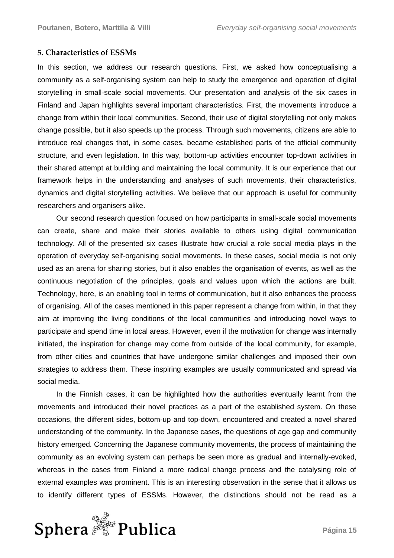## **5. Characteristics of ESSMs**

In this section, we address our research questions. First, we asked how conceptualising a community as a self-organising system can help to study the emergence and operation of digital storytelling in small-scale social movements. Our presentation and analysis of the six cases in Finland and Japan highlights several important characteristics. First, the movements introduce a change from within their local communities. Second, their use of digital storytelling not only makes change possible, but it also speeds up the process. Through such movements, citizens are able to introduce real changes that, in some cases, became established parts of the official community structure, and even legislation. In this way, bottom-up activities encounter top-down activities in their shared attempt at building and maintaining the local community. It is our experience that our framework helps in the understanding and analyses of such movements, their characteristics, dynamics and digital storytelling activities. We believe that our approach is useful for community researchers and organisers alike.

Our second research question focused on how participants in small-scale social movements can create, share and make their stories available to others using digital communication technology. All of the presented six cases illustrate how crucial a role social media plays in the operation of everyday self-organising social movements. In these cases, social media is not only used as an arena for sharing stories, but it also enables the organisation of events, as well as the continuous negotiation of the principles, goals and values upon which the actions are built. Technology, here, is an enabling tool in terms of communication, but it also enhances the process of organising. All of the cases mentioned in this paper represent a change from within, in that they aim at improving the living conditions of the local communities and introducing novel ways to participate and spend time in local areas. However, even if the motivation for change was internally initiated, the inspiration for change may come from outside of the local community, for example, from other cities and countries that have undergone similar challenges and imposed their own strategies to address them. These inspiring examples are usually communicated and spread via social media.

In the Finnish cases, it can be highlighted how the authorities eventually learnt from the movements and introduced their novel practices as a part of the established system. On these occasions, the different sides, bottom-up and top-down, encountered and created a novel shared understanding of the community. In the Japanese cases, the questions of age gap and community history emerged. Concerning the Japanese community movements, the process of maintaining the community as an evolving system can perhaps be seen more as gradual and internally-evoked, whereas in the cases from Finland a more radical change process and the catalysing role of external examples was prominent. This is an interesting observation in the sense that it allows us to identify different types of ESSMs. However, the distinctions should not be read as a

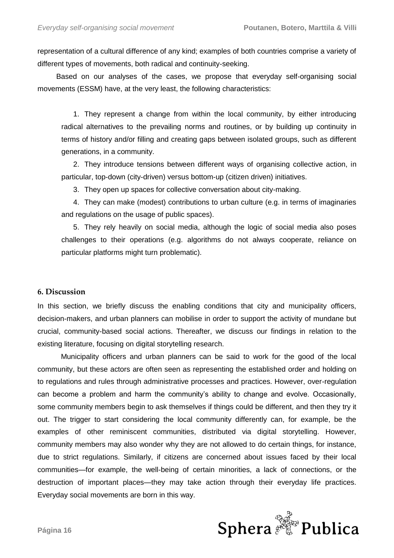representation of a cultural difference of any kind; examples of both countries comprise a variety of different types of movements, both radical and continuity-seeking.

Based on our analyses of the cases, we propose that everyday self-organising social movements (ESSM) have, at the very least, the following characteristics:

1. They represent a change from within the local community, by either introducing radical alternatives to the prevailing norms and routines, or by building up continuity in terms of history and/or filling and creating gaps between isolated groups, such as different generations, in a community.

2. They introduce tensions between different ways of organising collective action, in particular, top-down (city-driven) versus bottom-up (citizen driven) initiatives.

3. They open up spaces for collective conversation about city-making.

4. They can make (modest) contributions to urban culture (e.g. in terms of imaginaries and regulations on the usage of public spaces).

5. They rely heavily on social media, although the logic of social media also poses challenges to their operations (e.g. algorithms do not always cooperate, reliance on particular platforms might turn problematic).

## **6. Discussion**

In this section, we briefly discuss the enabling conditions that city and municipality officers, decision-makers, and urban planners can mobilise in order to support the activity of mundane but crucial, community-based social actions. Thereafter, we discuss our findings in relation to the existing literature, focusing on digital storytelling research.

Municipality officers and urban planners can be said to work for the good of the local community, but these actors are often seen as representing the established order and holding on to regulations and rules through administrative processes and practices. However, over-regulation can become a problem and harm the community's ability to change and evolve. Occasionally, some community members begin to ask themselves if things could be different, and then they try it out. The trigger to start considering the local community differently can, for example, be the examples of other reminiscent communities, distributed via digital storytelling. However, community members may also wonder why they are not allowed to do certain things, for instance, due to strict regulations. Similarly, if citizens are concerned about issues faced by their local communities—for example, the well-being of certain minorities, a lack of connections, or the destruction of important places—they may take action through their everyday life practices. Everyday social movements are born in this way.

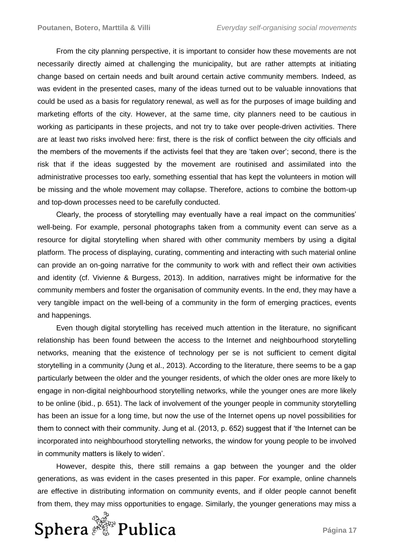From the city planning perspective, it is important to consider how these movements are not necessarily directly aimed at challenging the municipality, but are rather attempts at initiating change based on certain needs and built around certain active community members. Indeed, as was evident in the presented cases, many of the ideas turned out to be valuable innovations that could be used as a basis for regulatory renewal, as well as for the purposes of image building and marketing efforts of the city. However, at the same time, city planners need to be cautious in working as participants in these projects, and not try to take over people-driven activities. There are at least two risks involved here: first, there is the risk of conflict between the city officials and the members of the movements if the activists feel that they are 'taken over'; second, there is the risk that if the ideas suggested by the movement are routinised and assimilated into the administrative processes too early, something essential that has kept the volunteers in motion will be missing and the whole movement may collapse. Therefore, actions to combine the bottom-up and top-down processes need to be carefully conducted.

Clearly, the process of storytelling may eventually have a real impact on the communities' well-being. For example, personal photographs taken from a community event can serve as a resource for digital storytelling when shared with other community members by using a digital platform. The process of displaying, curating, commenting and interacting with such material online can provide an on-going narrative for the community to work with and reflect their own activities and identity (cf. Vivienne & Burgess, 2013). In addition, narratives might be informative for the community members and foster the organisation of community events. In the end, they may have a very tangible impact on the well-being of a community in the form of emerging practices, events and happenings.

Even though digital storytelling has received much attention in the literature, no significant relationship has been found between the access to the Internet and neighbourhood storytelling networks, meaning that the existence of technology per se is not sufficient to cement digital storytelling in a community (Jung et al., 2013). According to the literature, there seems to be a gap particularly between the older and the younger residents, of which the older ones are more likely to engage in non-digital neighbourhood storytelling networks, while the younger ones are more likely to be online (ibid., p. 651). The lack of involvement of the younger people in community storytelling has been an issue for a long time, but now the use of the Internet opens up novel possibilities for them to connect with their community. Jung et al. (2013, p. 652) suggest that if 'the Internet can be incorporated into neighbourhood storytelling networks, the window for young people to be involved in community matters is likely to widen'.

However, despite this, there still remains a gap between the younger and the older generations, as was evident in the cases presented in this paper. For example, online channels are effective in distributing information on community events, and if older people cannot benefit from them, they may miss opportunities to engage. Similarly, the younger generations may miss a

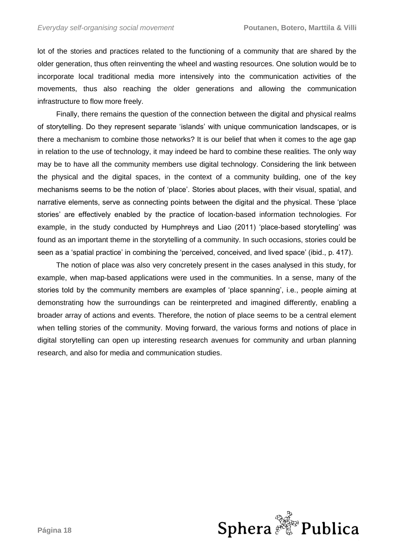lot of the stories and practices related to the functioning of a community that are shared by the older generation, thus often reinventing the wheel and wasting resources. One solution would be to incorporate local traditional media more intensively into the communication activities of the movements, thus also reaching the older generations and allowing the communication infrastructure to flow more freely.

Finally, there remains the question of the connection between the digital and physical realms of storytelling. Do they represent separate 'islands' with unique communication landscapes, or is there a mechanism to combine those networks? It is our belief that when it comes to the age gap in relation to the use of technology, it may indeed be hard to combine these realities. The only way may be to have all the community members use digital technology. Considering the link between the physical and the digital spaces, in the context of a community building, one of the key mechanisms seems to be the notion of 'place'. Stories about places, with their visual, spatial, and narrative elements, serve as connecting points between the digital and the physical. These 'place stories' are effectively enabled by the practice of location-based information technologies. For example, in the study conducted by Humphreys and Liao (2011) 'place-based storytelling' was found as an important theme in the storytelling of a community. In such occasions, stories could be seen as a 'spatial practice' in combining the 'perceived, conceived, and lived space' (ibid., p. 417).

The notion of place was also very concretely present in the cases analysed in this study, for example, when map-based applications were used in the communities. In a sense, many of the stories told by the community members are examples of 'place spanning', i.e., people aiming at demonstrating how the surroundings can be reinterpreted and imagined differently, enabling a broader array of actions and events. Therefore, the notion of place seems to be a central element when telling stories of the community. Moving forward, the various forms and notions of place in digital storytelling can open up interesting research avenues for community and urban planning research, and also for media and communication studies.

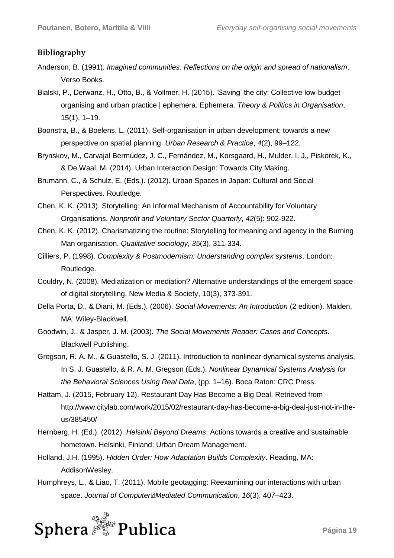## **Bibliography**

- Anderson, B. (1991). *Imagined communities: Reflections on the origin and spread of nationalism*. Verso Books.
- Bialski, P., Derwanz, H., Otto, B., & Vollmer, H. (2015). 'Saving' the city: Collective low‐budget organising and urban practice | ephemera. Ephemera. *Theory & Politics in Organisation*, 15(1), 1–19.
- Boonstra, B., & Boelens, L. (2011). Self-organisation in urban development: towards a new perspective on spatial planning. *Urban Research & Practice*, *4*(2), 99–122.
- Brynskov, M., Carvajal Bermúdez, J. C., Fernández, M., Korsgaard, H., Mulder, I. J., Piskorek, K., & De Waal, M. (2014). Urban Interaction Design: Towards City Making.
- Brumann, C., & Schulz, E. (Eds.). (2012). Urban Spaces in Japan: Cultural and Social Perspectives. Routledge.
- Chen, K. K. (2013). Storytelling: An Informal Mechanism of Accountability for Voluntary Organisations. *Nonprofit and Voluntary Sector Quarterly*, *42*(5): 902-922.
- Chen, K. K. (2012). Charismatizing the routine: Storytelling for meaning and agency in the Burning Man organisation. *Qualitative sociology*, *35*(3), 311-334.
- Cilliers, P. (1998). *Complexity & Postmodernism: Understanding complex systems*. London: Routledge.
- Couldry, N. (2008). Mediatization or mediation? Alternative understandings of the emergent space of digital storytelling. New Media & Society, 10(3), 373-391.
- Della Porta, D., & Diani, M. (Eds.). (2006). *Social Movements: An Introduction* (2 edition). Malden, MA: Wiley-Blackwell.
- Goodwin, J., & Jasper, J. M. (2003). *The Social Movements Reader: Cases and Concepts*. Blackwell Publishing.
- Gregson, R. A. M., & Guastello, S. J. (2011). Introduction to nonlinear dynamical systems analysis. In S. J. Guastello, & R. A. M. Gregson (Eds.). *Nonlinear Dynamical Systems Analysis for the Behavioral Sciences Using Real Data*, (pp. 1–16). Boca Raton: CRC Press.
- Hattam, J. (2015, February 12). Restaurant Day Has Become a Big Deal. Retrieved from http://www.citylab.com/work/2015/02/restaurant-day-has-become-a-big-deal-just-not-in-theus/385450/
- Hernberg, H. (Ed.). (2012). *Helsinki Beyond Dreams*: Actions towards a creative and sustainable hometown. Helsinki, Finland: Urban Dream Management.
- Holland, J.H. (1995). *Hidden Order: How Adaptation Builds Complexity*. Reading, MA: AddisonWesley.
- Humphreys, L., & Liao, T. (2011). Mobile geotagging: Reexamining our interactions with urban space. *Journal of Computer‐Mediated Communication*, *16*(3), 407–423.